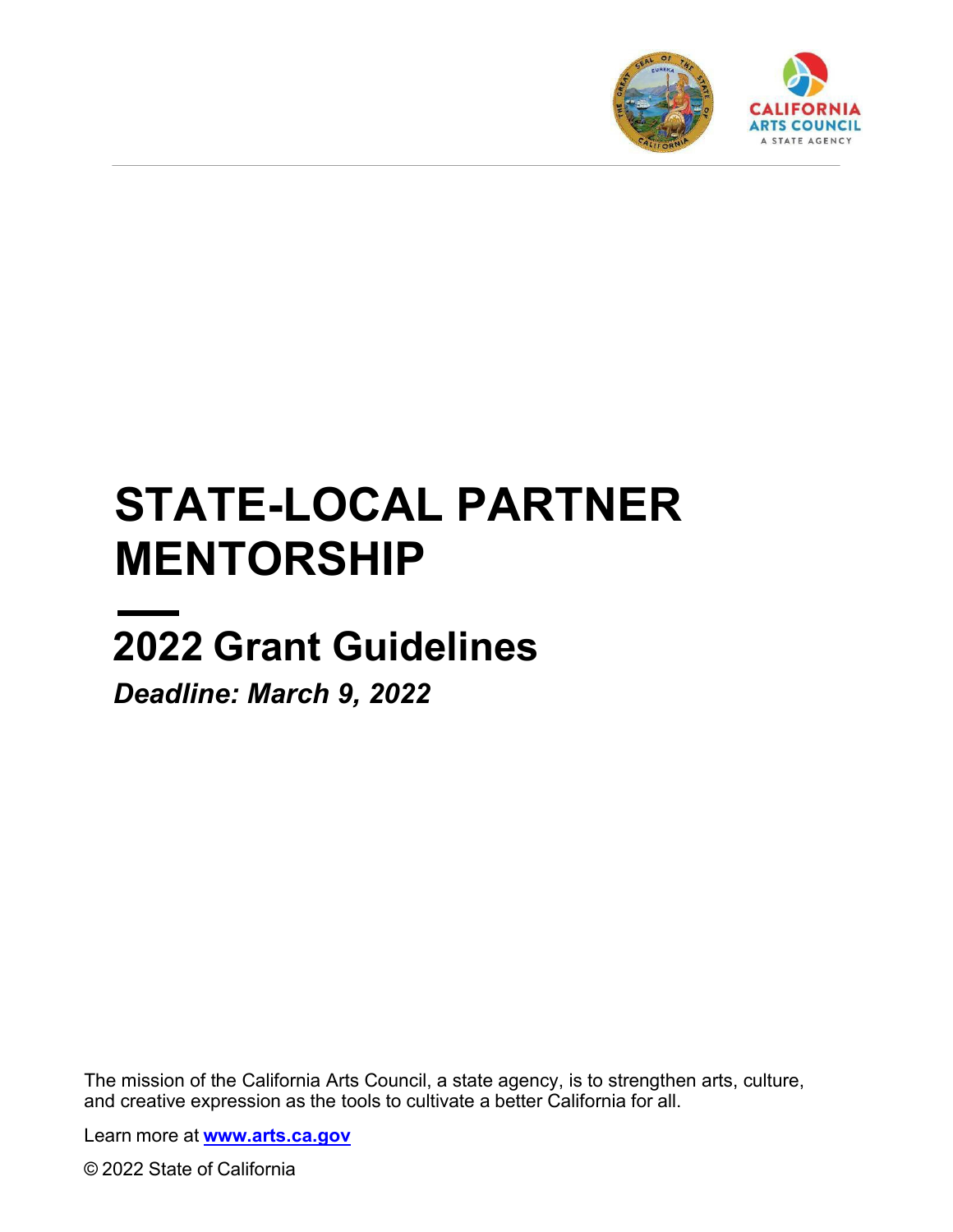

# **STATE-LOCAL PARTNER MENTORSHIP**

# **2022 Grant Guidelines**

*Deadline: March 9, 2022*

The mission of the California Arts Council, a state agency, is to strengthen arts, culture, and creative expression as the tools to cultivate a better California for all.

Learn more at **[www.arts.ca.gov](https://artscac-my.sharepoint.com/personal/kimberly_brown_arts_ca_gov/Documents/www.arts.ca.gov)**

© 2022 State of California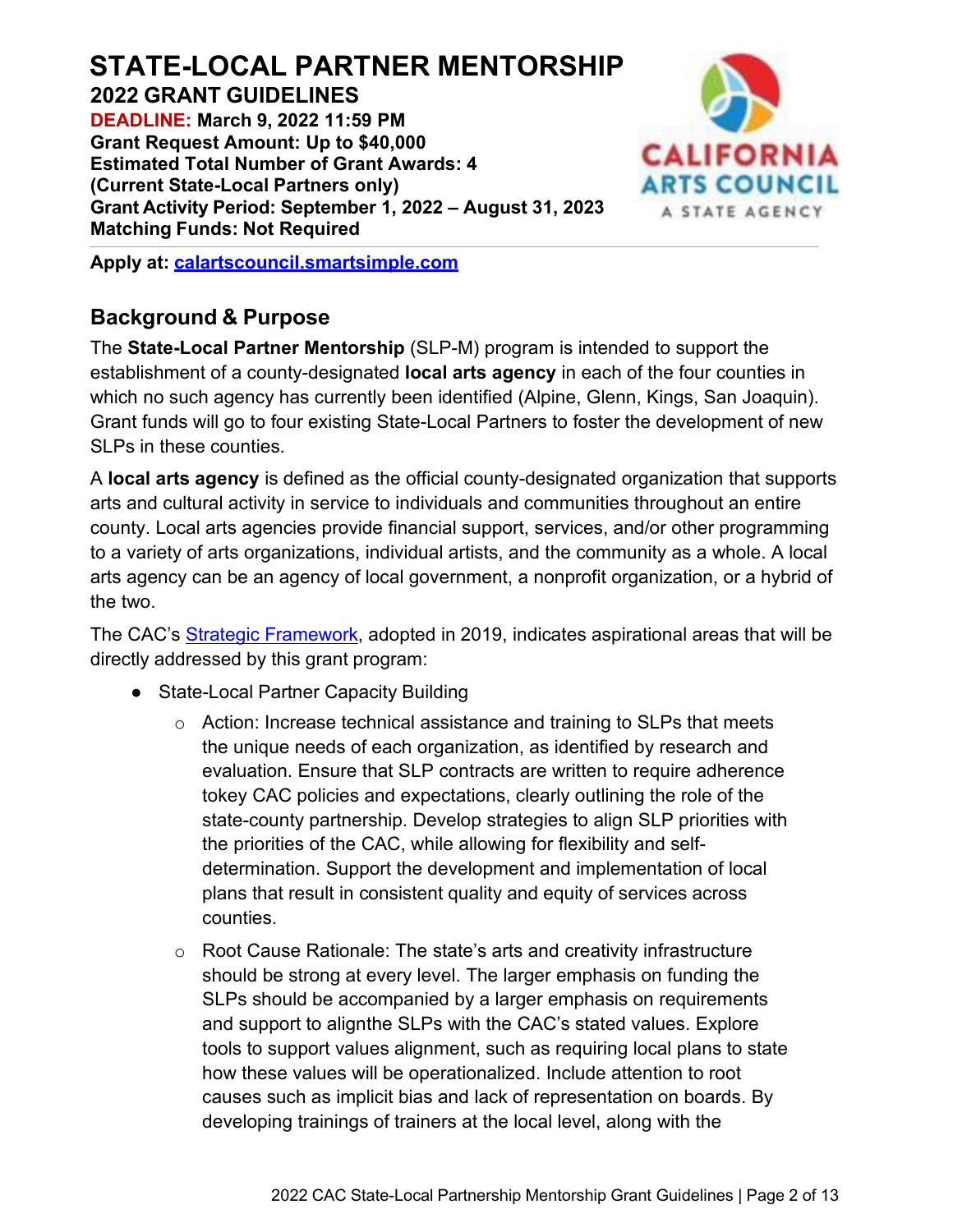# **STATE-LOCAL PARTNER MENTORSHIP**

**2022 GRANT GUIDELINES**

**DEADLINE: March 9, 2022 11:59 PM Grant Request Amount: Up to \$40,000 Estimated Total Number of Grant Awards: 4 (Current State-Local Partners only) Grant Activity Period: September 1, 2022 – August 31, 2023 Matching Funds: Not Required** 



**Apply at: [calartscouncil.smartsimple.com](https://calartscouncil.smartsimple.com/)**

# **Background & Purpose**

The **State-Local Partner Mentorship** (SLP-M) program is intended to support the establishment of a county-designated **local arts agency** in each of the four counties in which no such agency has currently been identified (Alpine, Glenn, Kings, San Joaquin). Grant funds will go to four existing State-Local Partners to foster the development of new SLPs in these counties.

A **local arts agency** is defined as the official county-designated organization that supports arts and cultural activity in service to individuals and communities throughout an entire county. Local arts agencies provide financial support, services, and/or other programming to a variety of arts organizations, individual artists, and the community as a whole. A local arts agency can be an agency of local government, a nonprofit organization, or a hybrid of the two.

The CAC's [Strategic Framework,](https://arts.ca.gov/about/how-we-think/) adopted in 2019, indicates aspirational areas that will be directly addressed by this grant program:

- **●** State-Local Partner Capacity Building
	- $\circ$  Action: Increase technical assistance and training to SLPs that meets the unique needs of each organization, as identified by research and evaluation. Ensure that SLP contracts are written to require adherence tokey CAC policies and expectations, clearly outlining the role of the state-county partnership. Develop strategies to align SLP priorities with the priorities of the CAC, while allowing for flexibility and selfdetermination. Support the development and implementation of local plans that result in consistent quality and equity of services across counties.
	- o Root Cause Rationale: The state's arts and creativity infrastructure should be strong at every level. The larger emphasis on funding the SLPs should be accompanied by a larger emphasis on requirements and support to alignthe SLPs with the CAC's stated values. Explore tools to support values alignment, such as requiring local plans to state how these values will be operationalized. Include attention to root causes such as implicit bias and lack of representation on boards. By developing trainings of trainers at the local level, along with the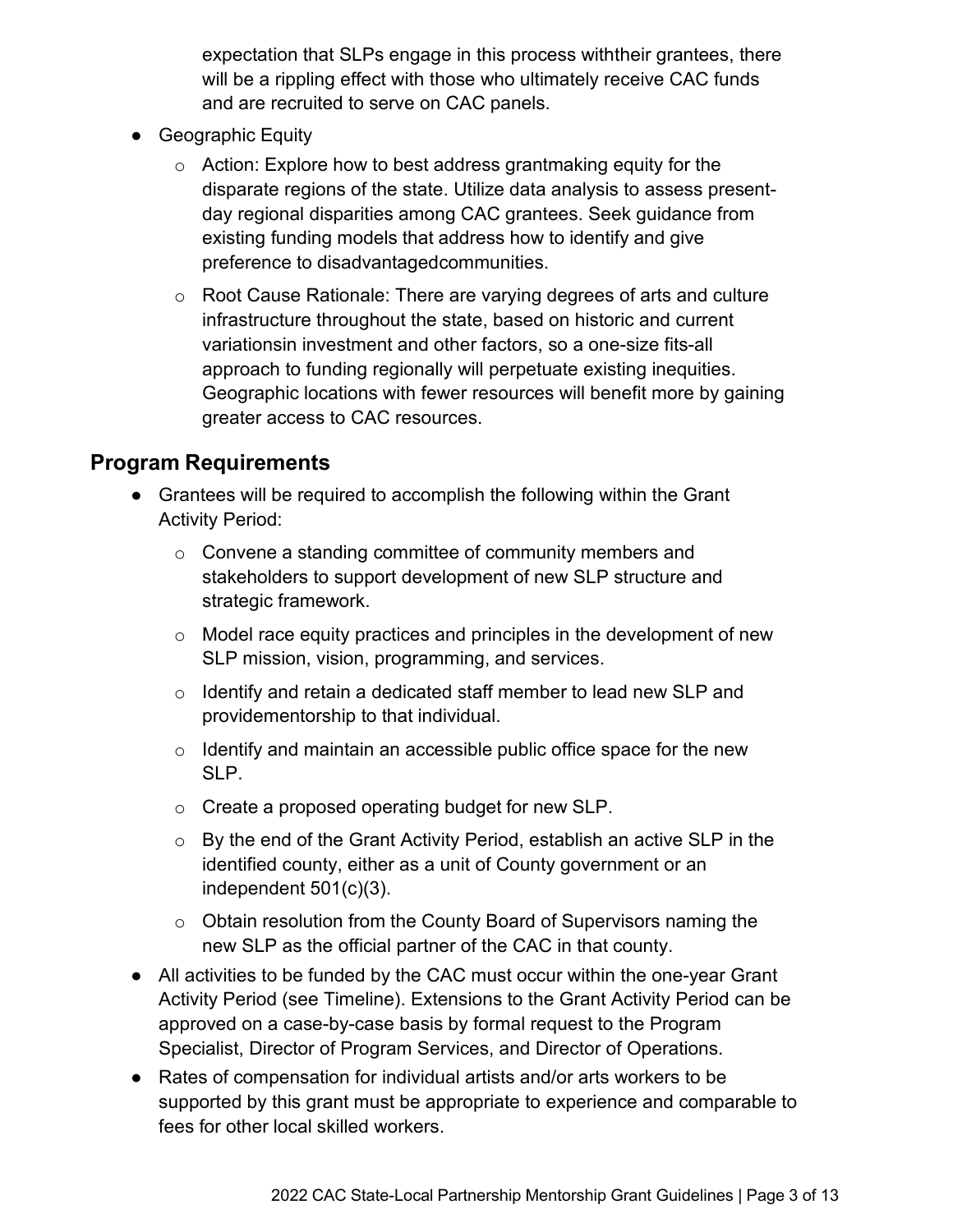expectation that SLPs engage in this process withtheir grantees, there will be a rippling effect with those who ultimately receive CAC funds and are recruited to serve on CAC panels.

- **●** Geographic Equity
	- $\circ$  Action: Explore how to best address grantmaking equity for the disparate regions of the state. Utilize data analysis to assess presentday regional disparities among CAC grantees. Seek guidance from existing funding models that address how to identify and give preference to disadvantagedcommunities.
	- o Root Cause Rationale: There are varying degrees of arts and culture infrastructure throughout the state, based on historic and current variationsin investment and other factors, so a one-size fits-all approach to funding regionally will perpetuate existing inequities. Geographic locations with fewer resources will benefit more by gaining greater access to CAC resources.

# **Program Requirements**

- **●** Grantees will be required to accomplish the following within the Grant Activity Period:
	- o Convene a standing committee of community members and stakeholders to support development of new SLP structure and strategic framework.
	- $\circ$  Model race equity practices and principles in the development of new SLP mission, vision, programming, and services.
	- o Identify and retain a dedicated staff member to lead new SLP and providementorship to that individual.
	- $\circ$  Identify and maintain an accessible public office space for the new SLP.
	- o Create a proposed operating budget for new SLP.
	- o By the end of the Grant Activity Period, establish an active SLP in the identified county, either as a unit of County government or an independent 501(c)(3).
	- o Obtain resolution from the County Board of Supervisors naming the new SLP as the official partner of the CAC in that county.
- **●** All activities to be funded by the CAC must occur within the one-year Grant Activity Period (see Timeline). Extensions to the Grant Activity Period can be approved on a case-by-case basis by formal request to the Program Specialist, Director of Program Services, and Director of Operations.
- **●** Rates of compensation for individual artists and/or arts workers to be supported by this grant must be appropriate to experience and comparable to fees for other local skilled workers.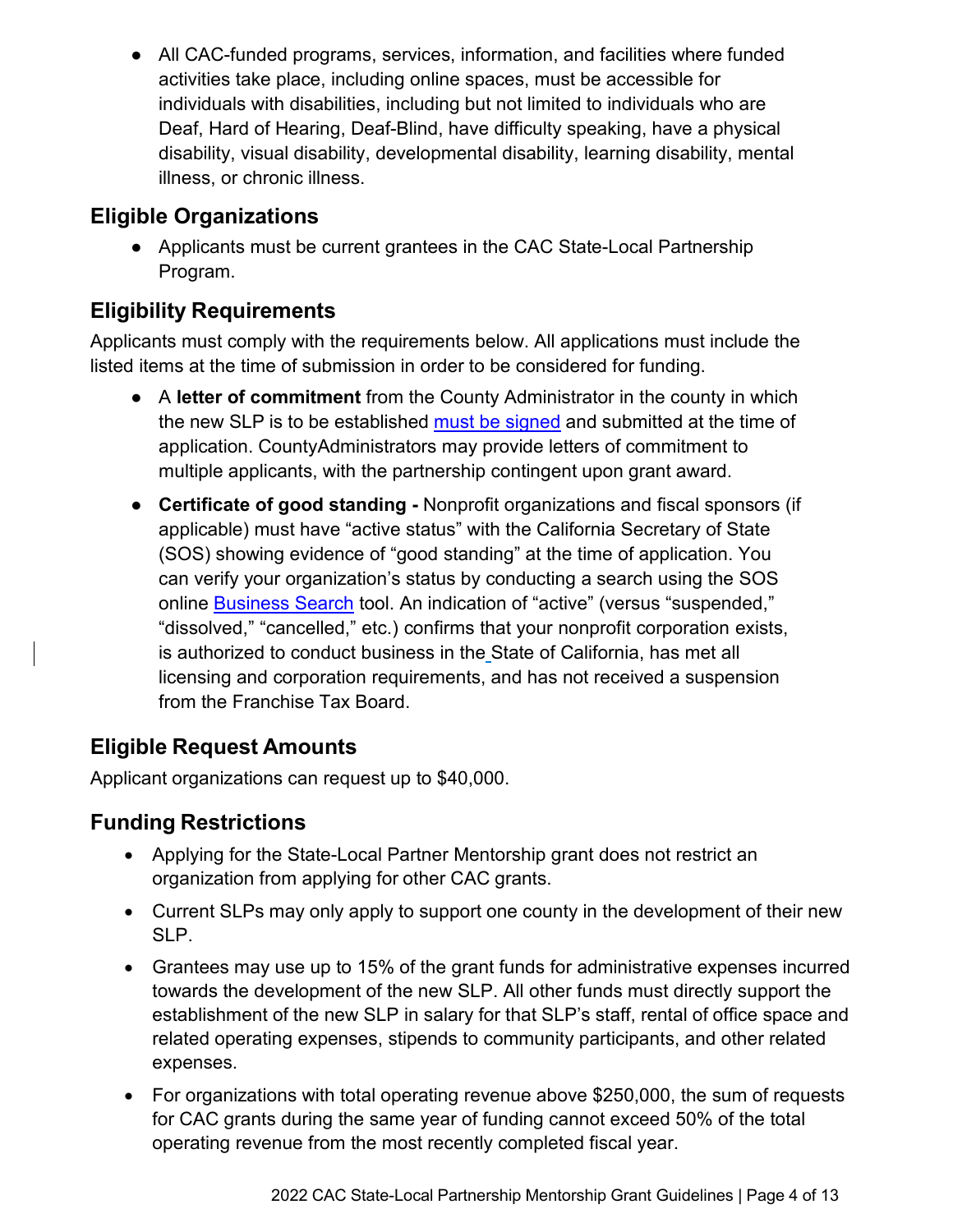**●** All CAC-funded programs, services, information, and facilities where funded activities take place, including online spaces, must be accessible for individuals with disabilities, including but not limited to individuals who are Deaf, Hard of Hearing, Deaf-Blind, have difficulty speaking, have a physical disability, visual disability, developmental disability, learning disability, mental illness, or chronic illness.

# **Eligible Organizations**

**●** Applicants must be current grantees in the CAC State-Local Partnership Program.

# **Eligibility Requirements**

Applicants must comply with the requirements below. All applications must include the listed items at the time of submission in order to be considered for funding.

- **●** A **letter of commitment** from the County Administrator in the county in which the new SLP is to be established [must be signed](https://arts.ca.gov/definitionofasignature/) and submitted at the time of application. CountyAdministrators may provide letters of commitment to multiple applicants, with the partnership contingent upon grant award.
- **● Certificate of good standing** Nonprofit organizations and fiscal sponsors (if applicable) must have "active status" with the California Secretary of State (SOS) showing evidence of "good standing" at the time of application. You can verify your organization's status by conducting a search using the SOS online [Business Search](https://businesssearch.sos.ca.gov/) tool. An indication of "active" (versus "suspended," "dissolved," "cancelled," etc.) confirms that your nonprofit corporation exists, is authorized to conduct business in the State of California, has met all licensing and corporation requirements, and has not received a suspension from the Franchise Tax Board.

# **Eligible Request Amounts**

Applicant organizations can request up to \$40,000.

## **Funding Restrictions**

- Applying for the State-Local Partner Mentorship grant does not restrict an organization from applying for other CAC grants.
- Current SLPs may only apply to support one county in the development of their new SLP.
- Grantees may use up to 15% of the grant funds for administrative expenses incurred towards the development of the new SLP. All other funds must directly support the establishment of the new SLP in salary for that SLP's staff, rental of office space and related operating expenses, stipends to community participants, and other related expenses.
- For organizations with total operating revenue above \$250,000, the sum of requests for CAC grants during the same year of funding cannot exceed 50% of the total operating revenue from the most recently completed fiscal year.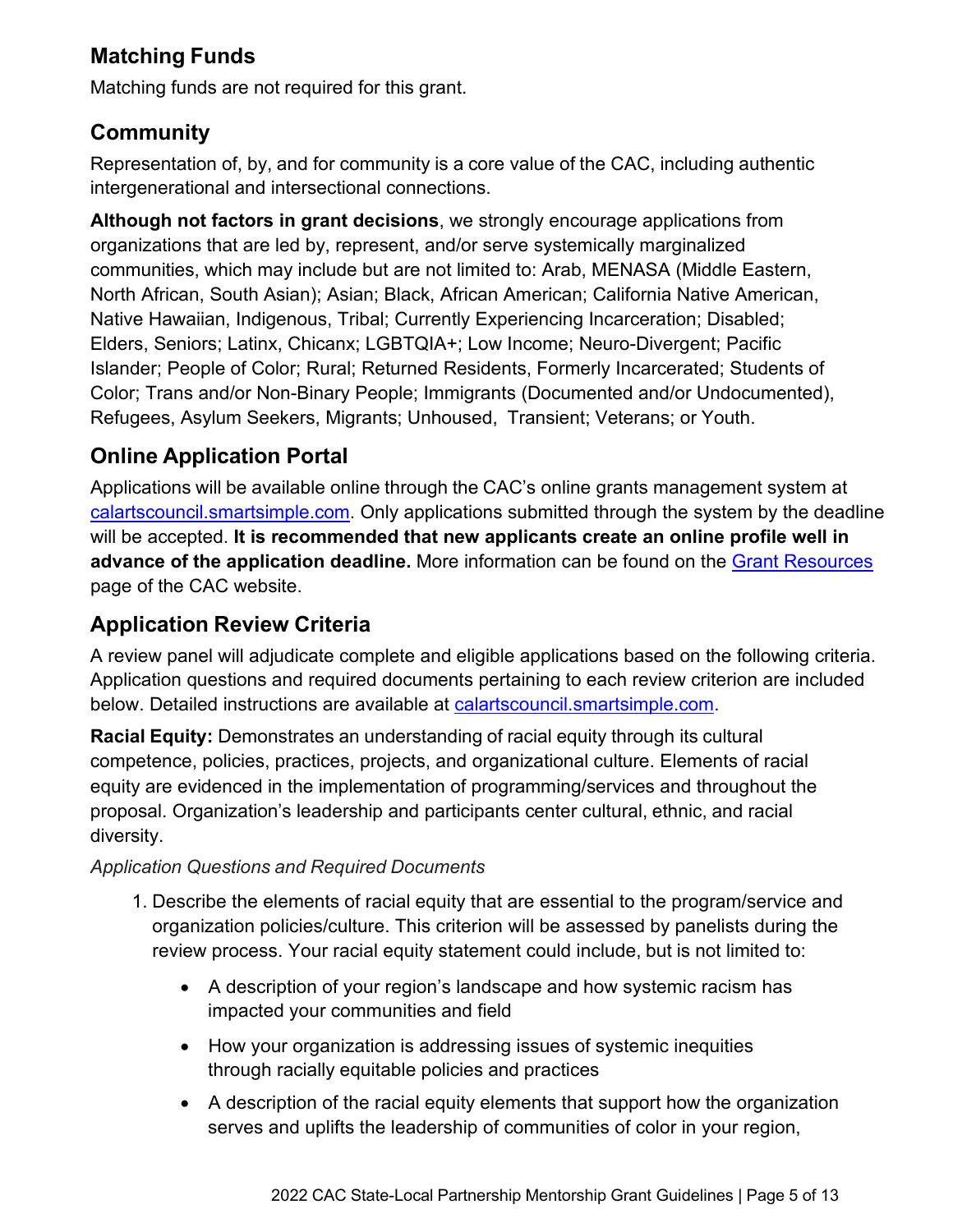# **Matching Funds**

Matching funds are not required for this grant.

# **Community**

Representation of, by, and for community is a core value of the CAC, including authentic intergenerational and intersectional connections.

**Although not factors in grant decisions**, we strongly encourage applications from organizations that are led by, represent, and/or serve systemically marginalized communities, which may include but are not limited to: Arab, MENASA (Middle Eastern, North African, South Asian); Asian; Black, African American; California Native American, Native Hawaiian, Indigenous, Tribal; Currently Experiencing Incarceration; Disabled; Elders, Seniors; Latinx, Chicanx; LGBTQIA+; Low Income; Neuro-Divergent; Pacific Islander; People of Color; Rural; Returned Residents, Formerly Incarcerated; Students of Color; Trans and/or Non-Binary People; Immigrants (Documented and/or Undocumented), Refugees, Asylum Seekers, Migrants; Unhoused, Transient; Veterans; or Youth.

# **Online Application Portal**

Applications will be available online through the CAC's online grants management system at [calartscouncil.smartsimple.com.](https://calartscouncil.smartsimple.com/s_Login.jsp) Only applications submitted through the system by the deadline will be accepted. **It is recommended that new applicants create an online profile well in advance of the application deadline.** More information can be found on the [Grant Resources](https://arts.ca.gov/grants/resources/) page of the CAC website.

# **Application Review Criteria**

A review panel will adjudicate complete and eligible applications based on the following criteria. Application questions and required documents pertaining to each review criterion are included below. Detailed instructions are available at [calartscouncil.smartsimple.com.](https://calartscouncil.smartsimple.com/s_Login.jsp)

**Racial Equity:** Demonstrates an understanding of racial equity through its cultural competence, policies, practices, projects, and organizational culture. Elements of racial equity are evidenced in the implementation of programming/services and throughout the proposal. Organization's leadership and participants center cultural, ethnic, and racial diversity.

#### *Application Questions and Required Documents*

- 1. Describe the elements of racial equity that are essential to the program/service and organization policies/culture. This criterion will be assessed by panelists during the review process. Your racial equity statement could include, but is not limited to:
	- A description of your region's landscape and how systemic racism has impacted your communities and field
	- How your organization is addressing issues of systemic inequities through racially equitable policies and practices
	- A description of the racial equity elements that support how the organization serves and uplifts the leadership of communities of color in your region,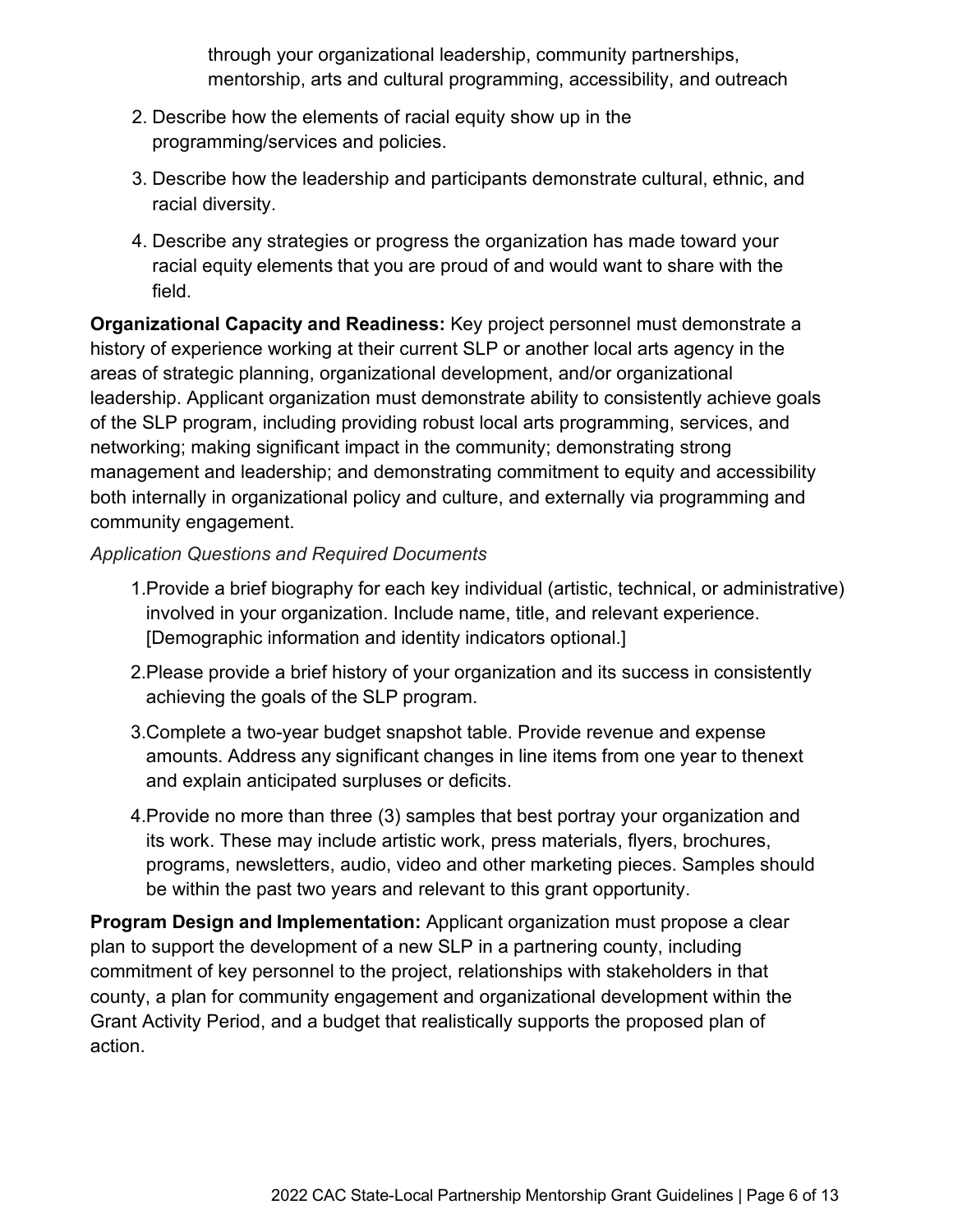through your organizational leadership, community partnerships, mentorship, arts and cultural programming, accessibility, and outreach

- 2. Describe how the elements of racial equity show up in the programming/services and policies.
- 3. Describe how the leadership and participants demonstrate cultural, ethnic, and racial diversity.
- 4. Describe any strategies or progress the organization has made toward your racial equity elements that you are proud of and would want to share with the field.

**Organizational Capacity and Readiness:** Key project personnel must demonstrate a history of experience working at their current SLP or another local arts agency in the areas of strategic planning, organizational development, and/or organizational leadership. Applicant organization must demonstrate ability to consistently achieve goals of the SLP program, including providing robust local arts programming, services, and networking; making significant impact in the community; demonstrating strong management and leadership; and demonstrating commitment to equity and accessibility both internally in organizational policy and culture, and externally via programming and community engagement.

#### *Application Questions and Required Documents*

- 1.Provide a brief biography for each key individual (artistic, technical, or administrative) involved in your organization. Include name, title, and relevant experience. [Demographic information and identity indicators optional.]
- 2.Please provide a brief history of your organization and its success in consistently achieving the goals of the SLP program.
- 3.Complete a two-year budget snapshot table. Provide revenue and expense amounts. Address any significant changes in line items from one year to thenext and explain anticipated surpluses or deficits.
- 4.Provide no more than three (3) samples that best portray your organization and its work. These may include artistic work, press materials, flyers, brochures, programs, newsletters, audio, video and other marketing pieces. Samples should be within the past two years and relevant to this grant opportunity.

**Program Design and Implementation:** Applicant organization must propose a clear plan to support the development of a new SLP in a partnering county, including commitment of key personnel to the project, relationships with stakeholders in that county, a plan for community engagement and organizational development within the Grant Activity Period, and a budget that realistically supports the proposed plan of action.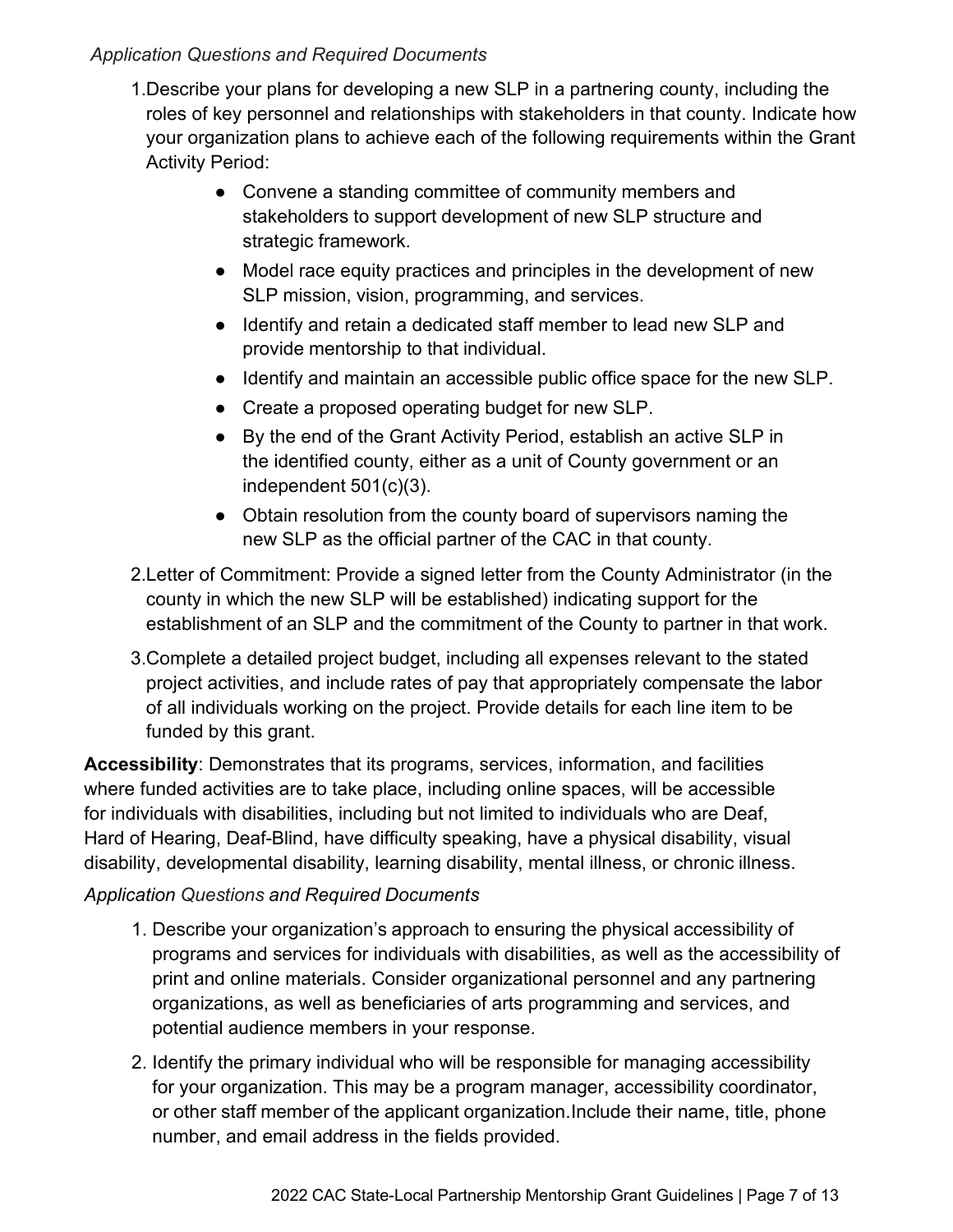#### *Application Questions and Required Documents*

1.Describe your plans for developing a new SLP in a partnering county, including the roles of key personnel and relationships with stakeholders in that county. Indicate how your organization plans to achieve each of the following requirements within the Grant Activity Period:

- Convene a standing committee of community members and stakeholders to support development of new SLP structure and strategic framework.
- Model race equity practices and principles in the development of new SLP mission, vision, programming, and services.
- Identify and retain a dedicated staff member to lead new SLP and provide mentorship to that individual.
- Identify and maintain an accessible public office space for the new SLP.
- Create a proposed operating budget for new SLP.
- By the end of the Grant Activity Period, establish an active SLP in the identified county, either as a unit of County government or an independent 501(c)(3).
- Obtain resolution from the county board of supervisors naming the new SLP as the official partner of the CAC in that county.
- 2.Letter of Commitment: Provide a signed letter from the County Administrator (in the county in which the new SLP will be established) indicating support for the establishment of an SLP and the commitment of the County to partner in that work.
- 3.Complete a detailed project budget, including all expenses relevant to the stated project activities, and include rates of pay that appropriately compensate the labor of all individuals working on the project. Provide details for each line item to be funded by this grant.

**Accessibility**: Demonstrates that its programs, services, information, and facilities where funded activities are to take place, including online spaces, will be accessible for individuals with disabilities, including but not limited to individuals who are Deaf, Hard of Hearing, Deaf-Blind, have difficulty speaking, have a physical disability, visual disability, developmental disability, learning disability, mental illness, or chronic illness.

#### *Application Questions and Required Documents*

- 1. Describe your organization's approach to ensuring the physical accessibility of programs and services for individuals with disabilities, as well as the accessibility of print and online materials. Consider organizational personnel and any partnering organizations, as well as beneficiaries of arts programming and services, and potential audience members in your response.
- 2. Identify the primary individual who will be responsible for managing accessibility for your organization. This may be a program manager, accessibility coordinator, or other staff member of the applicant organization.Include their name, title, phone number, and email address in the fields provided.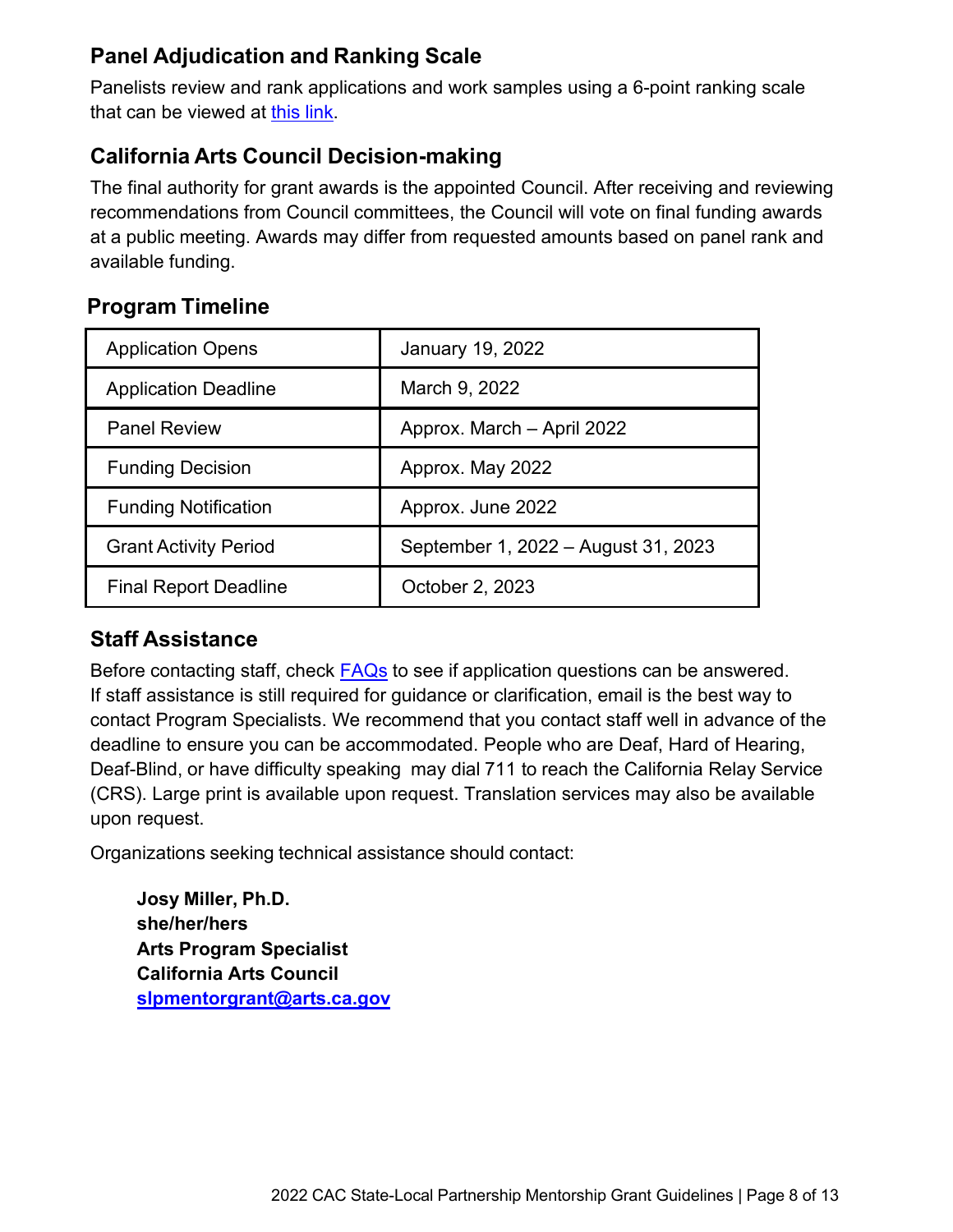# **Panel Adjudication and Ranking Scale**

Panelists review and rank applications and work samples using a 6-point ranking scale that can be viewed at this [link.](https://arts.ca.gov/rankingguide/)

# **California Arts Council Decision-making**

The final authority for grant awards is the appointed Council. After receiving and reviewing recommendations from Council committees, the Council will vote on final funding awards at a public meeting. Awards may differ from requested amounts based on panel rank and available funding.

# **Program Timeline**

| <b>Application Opens</b>     | January 19, 2022                    |
|------------------------------|-------------------------------------|
| <b>Application Deadline</b>  | March 9, 2022                       |
| <b>Panel Review</b>          | Approx. March - April 2022          |
| <b>Funding Decision</b>      | Approx. May 2022                    |
| <b>Funding Notification</b>  | Approx. June 2022                   |
| <b>Grant Activity Period</b> | September 1, 2022 - August 31, 2023 |
| <b>Final Report Deadline</b> | October 2, 2023                     |

#### **Staff Assistance**

Before contacting staff, check [FAQs](https://arts.ca.gov/grants/faq/) to see if application questions can be answered. If staff assistance is still required for guidance or clarification, email is the best way to contact Program Specialists. We recommend that you contact staff well in advance of the deadline to ensure you can be accommodated. People who are Deaf, Hard of Hearing, Deaf-Blind, or have difficulty speaking may dial 711 to reach the California Relay Service (CRS). Large print is available upon request. Translation services may also be available upon request.

Organizations seeking technical assistance should contact:

**Josy Miller, Ph.D. she/her/hers Arts Program Specialist California Arts Council [slpmentorgrant@arts.ca.gov](mailto:slpmentorgrant@arts.ca.gov)**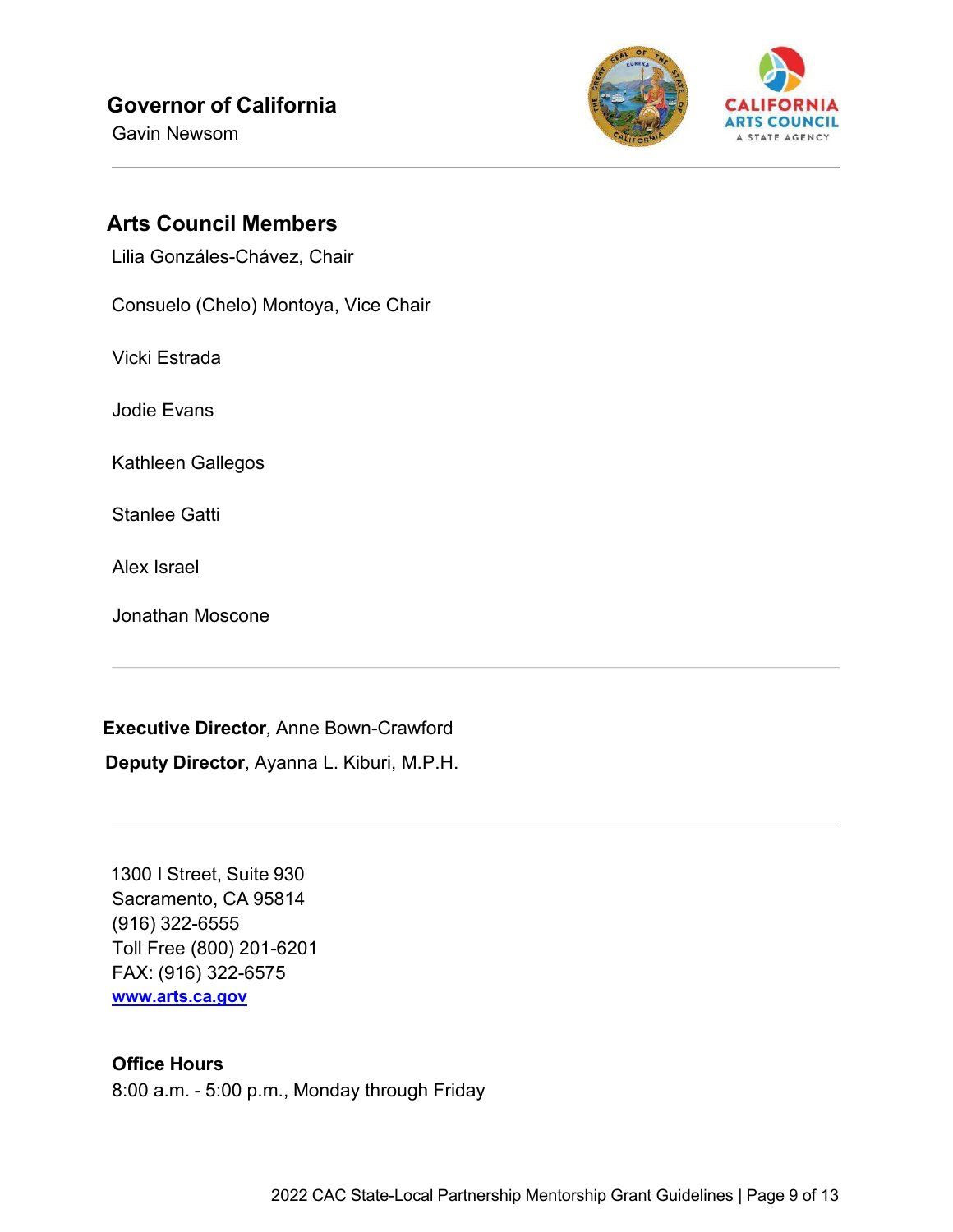Gavin Newsom



### **Arts Council Members**

Lilia Gonzáles-Chávez, Chair

Consuelo (Chelo) Montoya, Vice Chair

Vicki Estrada

Jodie Evans

Kathleen Gallegos

Stanlee Gatti

Alex Israel

Jonathan Moscone

#### **Executive Director***,* Anne Bown-Crawford

**Deputy Director**, Ayanna L. Kiburi, M.P.H.

1300 I Street, Suite 930 Sacramento, CA 95814 (916) 322-6555 Toll Free (800) 201-6201 FAX: (916) 322-6575 **[www.arts.ca.gov](http://www.arts.ca.gov/)**

#### **Office Hours**

8:00 a.m. - 5:00 p.m., Monday through Friday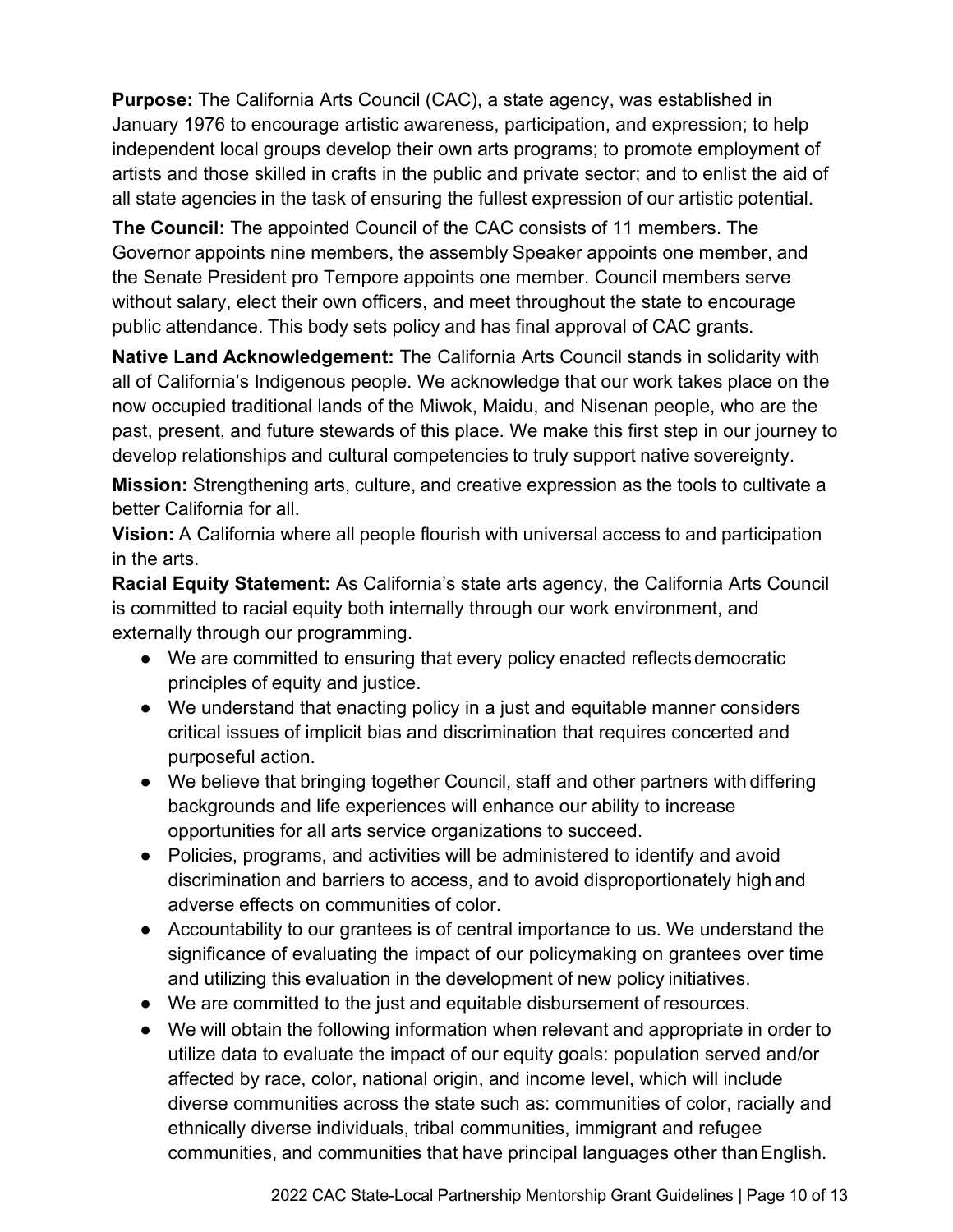**Purpose:** The California Arts Council (CAC), a state agency, was established in January 1976 to encourage artistic awareness, participation, and expression; to help independent local groups develop their own arts programs; to promote employment of artists and those skilled in crafts in the public and private sector; and to enlist the aid of all state agencies in the task of ensuring the fullest expression of our artistic potential.

**The Council:** The appointed Council of the CAC consists of 11 members. The Governor appoints nine members, the assembly Speaker appoints one member, and the Senate President pro Tempore appoints one member. Council members serve without salary, elect their own officers, and meet throughout the state to encourage public attendance. This body sets policy and has final approval of CAC grants.

**Native Land Acknowledgement:** The California Arts Council stands in solidarity with all of California's Indigenous people. We acknowledge that our work takes place on the now occupied traditional lands of the Miwok, Maidu, and Nisenan people, who are the past, present, and future stewards of this place. We make this first step in our journey to develop relationships and cultural competencies to truly support native sovereignty.

**Mission:** Strengthening arts, culture, and creative expression as the tools to cultivate a better California for all.

**Vision:** A California where all people flourish with universal access to and participation in the arts.

**Racial Equity Statement:** As California's state arts agency, the California Arts Council is committed to racial equity both internally through our work environment, and externally through our programming.

- We are committed to ensuring that every policy enacted reflects democratic principles of equity and justice.
- We understand that enacting policy in a just and equitable manner considers critical issues of implicit bias and discrimination that requires concerted and purposeful action.
- We believe that bringing together Council, staff and other partners with differing backgrounds and life experiences will enhance our ability to increase opportunities for all arts service organizations to succeed.
- Policies, programs, and activities will be administered to identify and avoid discrimination and barriers to access, and to avoid disproportionately high and adverse effects on communities of color.
- Accountability to our grantees is of central importance to us. We understand the significance of evaluating the impact of our policymaking on grantees over time and utilizing this evaluation in the development of new policy initiatives.
- We are committed to the just and equitable disbursement of resources.
- We will obtain the following information when relevant and appropriate in order to utilize data to evaluate the impact of our equity goals: population served and/or affected by race, color, national origin, and income level, which will include diverse communities across the state such as: communities of color, racially and ethnically diverse individuals, tribal communities, immigrant and refugee communities, and communities that have principal languages other thanEnglish.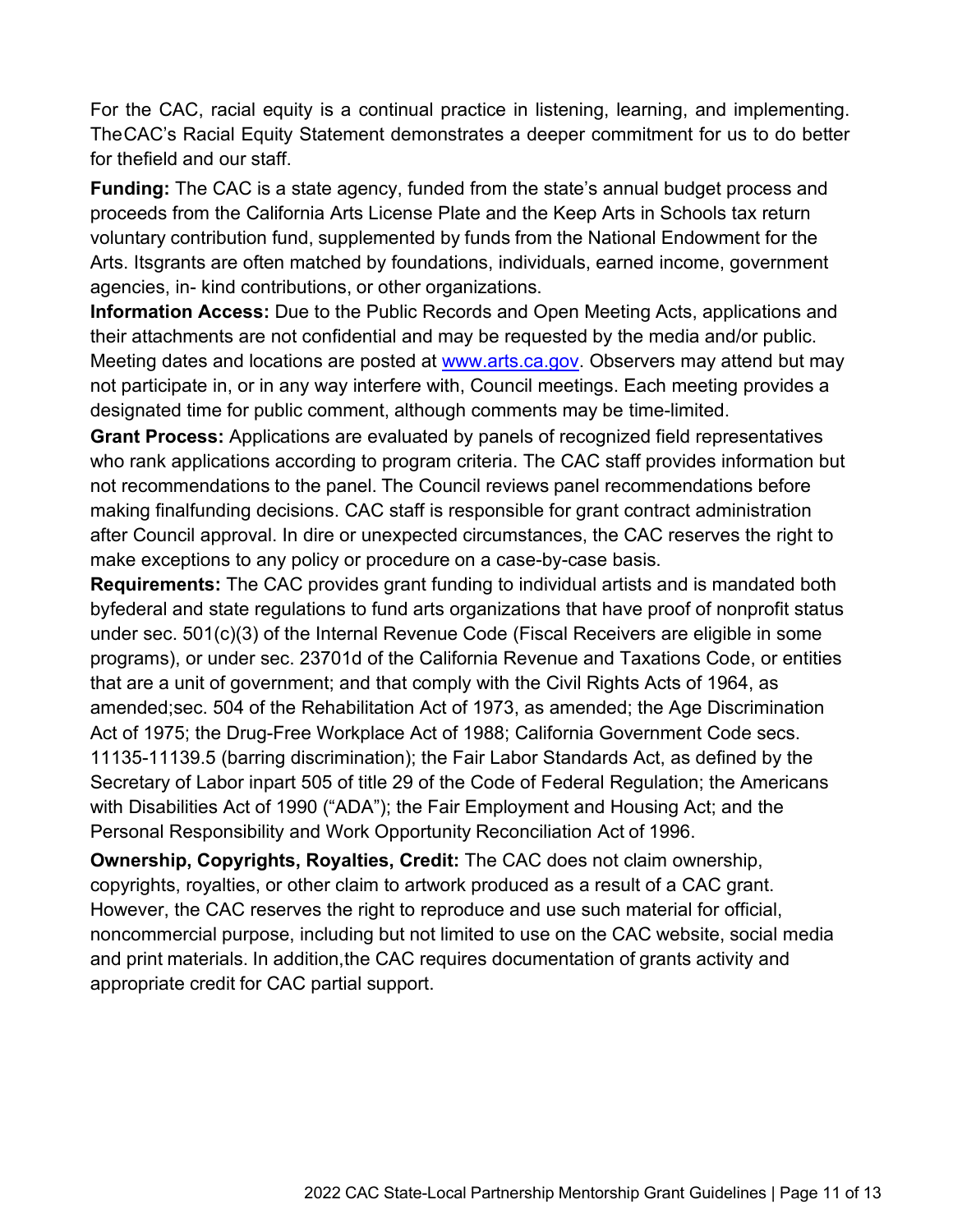For the CAC, racial equity is a continual practice in listening, learning, and implementing. TheCAC's Racial Equity Statement demonstrates a deeper commitment for us to do better for thefield and our staff.

**Funding:** The CAC is a state agency, funded from the state's annual budget process and proceeds from the California Arts License Plate and the Keep Arts in Schools tax return voluntary contribution fund, supplemented by funds from the National Endowment for the Arts. Itsgrants are often matched by foundations, individuals, earned income, government agencies, in- kind contributions, or other organizations.

**Information Access:** Due to the Public Records and Open Meeting Acts, applications and their attachments are not confidential and may be requested by the media and/or public. Meeting dates and locations are posted at [www.arts.ca.gov.](http://www.arts.ca.gov/) Observers may attend but may not participate in, or in any way interfere with, Council meetings. Each meeting provides a designated time for public comment, although comments may be time-limited.

**Grant Process:** Applications are evaluated by panels of recognized field representatives who rank applications according to program criteria. The CAC staff provides information but not recommendations to the panel. The Council reviews panel recommendations before making finalfunding decisions. CAC staff is responsible for grant contract administration after Council approval. In dire or unexpected circumstances, the CAC reserves the right to make exceptions to any policy or procedure on a case-by-case basis.

**Requirements:** The CAC provides grant funding to individual artists and is mandated both byfederal and state regulations to fund arts organizations that have proof of nonprofit status under sec. 501(c)(3) of the Internal Revenue Code (Fiscal Receivers are eligible in some programs), or under sec. 23701d of the California Revenue and Taxations Code, or entities that are a unit of government; and that comply with the Civil Rights Acts of 1964, as amended;sec. 504 of the Rehabilitation Act of 1973, as amended; the Age Discrimination Act of 1975; the Drug-Free Workplace Act of 1988; California Government Code secs. 11135-11139.5 (barring discrimination); the Fair Labor Standards Act, as defined by the Secretary of Labor inpart 505 of title 29 of the Code of Federal Regulation; the Americans with Disabilities Act of 1990 ("ADA"); the Fair Employment and Housing Act; and the Personal Responsibility and Work Opportunity Reconciliation Act of 1996.

**Ownership, Copyrights, Royalties, Credit:** The CAC does not claim ownership, copyrights, royalties, or other claim to artwork produced as a result of a CAC grant. However, the CAC reserves the right to reproduce and use such material for official, noncommercial purpose, including but not limited to use on the CAC website, social media and print materials. In addition,the CAC requires documentation of grants activity and appropriate credit for CAC partial support.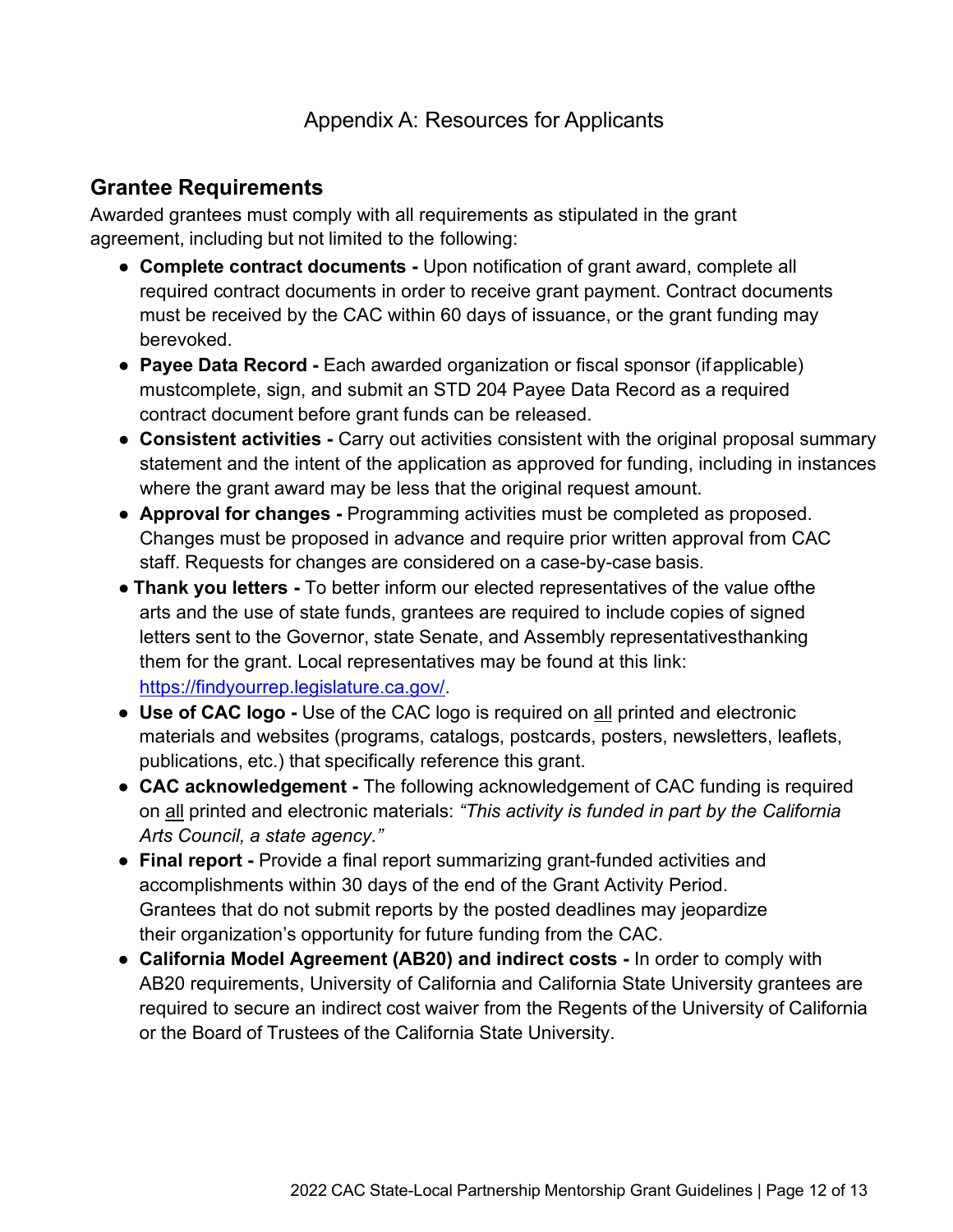## **Grantee Requirements**

Awarded grantees must comply with all requirements as stipulated in the grant agreement, including but not limited to the following:

- **Complete contract documents -** Upon notification of grant award, complete all required contract documents in order to receive grant payment. Contract documents must be received by the CAC within 60 days of issuance, or the grant funding may berevoked.
- **Payee Data Record -** Each awarded organization or fiscal sponsor (ifapplicable) mustcomplete, sign, and submit an STD 204 Payee Data Record as a required contract document before grant funds can be released.
- **Consistent activities -** Carry out activities consistent with the original proposal summary statement and the intent of the application as approved for funding, including in instances where the grant award may be less that the original request amount.
- **Approval for changes -** Programming activities must be completed as proposed. Changes must be proposed in advance and require prior written approval from CAC staff. Requests for changes are considered on a case-by-case basis.
- **Thank you letters -** To better inform our elected representatives of the value ofthe arts and the use of state funds, grantees are required to include copies of signed letters sent to the Governor, state Senate, and Assembly representativesthanking them for the grant. Local representatives may be found at this link: [https://findyourrep.legislature.ca.gov/.](https://findyourrep.legislature.ca.gov/)
- **Use of CAC logo -** Use of the CAC logo is required on all printed and electronic materials and websites (programs, catalogs, postcards, posters, newsletters, leaflets, publications, etc.) that specifically reference this grant.
- **CAC acknowledgement -** The following acknowledgement of CAC funding is required on all printed and electronic materials: *"This activity is funded in part by the California Arts Council, a state agency."*
- **Final report -** Provide a final report summarizing grant-funded activities and accomplishments within 30 days of the end of the Grant Activity Period. Grantees that do not submit reports by the posted deadlines may jeopardize their organization's opportunity for future funding from the CAC.
- **California Model Agreement (AB20) and indirect costs -** In order to comply with AB20 requirements, University of California and California State University grantees are required to secure an indirect cost waiver from the Regents of the University of California or the Board of Trustees of the California State University.